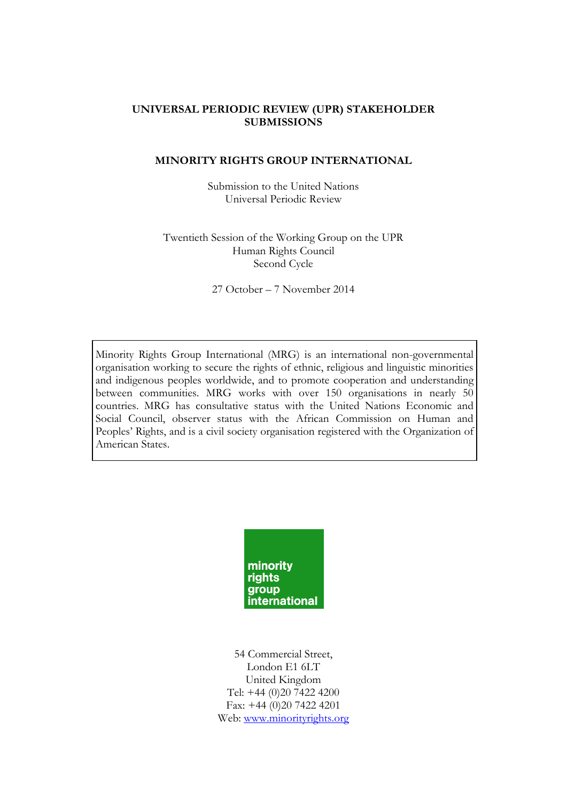#### **UNIVERSAL PERIODIC REVIEW (UPR) STAKEHOLDER SUBMISSIONS**

#### **MINORITY RIGHTS GROUP INTERNATIONAL**

Submission to the United Nations Universal Periodic Review

Twentieth Session of the Working Group on the UPR Human Rights Council Second Cycle

27 October – 7 November 2014

Minority Rights Group International (MRG) is an international non-governmental organisation working to secure the rights of ethnic, religious and linguistic minorities and indigenous peoples worldwide, and to promote cooperation and understanding between communities. MRG works with over 150 organisations in nearly 50 countries. MRG has consultative status with the United Nations Economic and Social Council, observer status with the African Commission on Human and Peoples' Rights, and is a civil society organisation registered with the Organization of American States.



54 Commercial Street, London E1 6LT United Kingdom Tel: +44 (0)20 7422 4200 Fax: +44 (0)20 7422 4201 Web: [www.minorityrights.org](http://www.minorityrights.org/)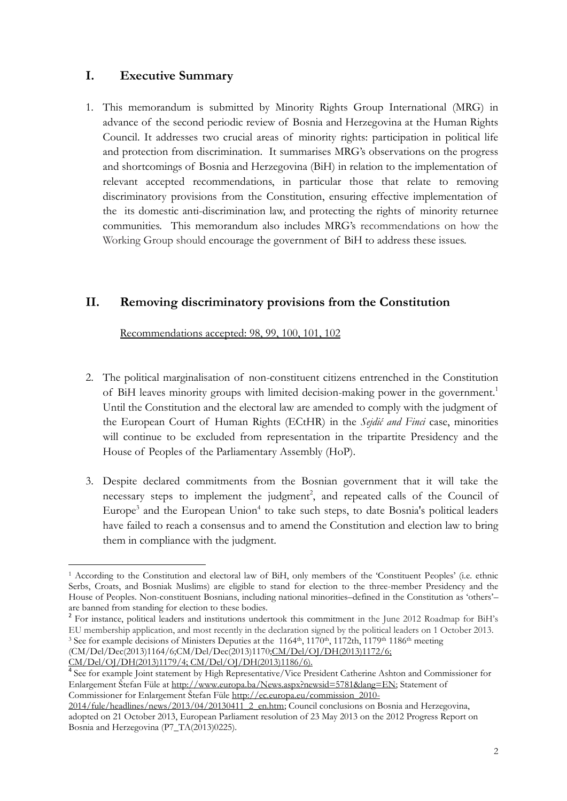# **I. Executive Summary**

1. This memorandum is submitted by Minority Rights Group International (MRG) in advance of the second periodic review of Bosnia and Herzegovina at the Human Rights Council. It addresses two crucial areas of minority rights: participation in political life and protection from discrimination. It summarises MRG's observations on the progress and shortcomings of Bosnia and Herzegovina (BiH) in relation to the implementation of relevant accepted recommendations, in particular those that relate to removing discriminatory provisions from the Constitution, ensuring effective implementation of the its domestic anti-discrimination law, and protecting the rights of minority returnee communities. This memorandum also includes MRG's recommendations on how the Working Group should encourage the government of BiH to address these issues.

# **II. Removing discriminatory provisions from the Constitution**

Recommendations accepted: 98, 99, 100, 101, 102

- 2. The political marginalisation of non-constituent citizens entrenched in the Constitution of BiH leaves minority groups with limited decision-making power in the government.<sup>1</sup> Until the Constitution and the electoral law are amended to comply with the judgment of the European Court of Human Rights (ECtHR) in the *Sejdić and Finci* case, minorities will continue to be excluded from representation in the tripartite Presidency and the House of Peoples of the Parliamentary Assembly (HoP).
- 3. Despite declared commitments from the Bosnian government that it will take the  $n$ ecessary steps to implement the judgment<sup>2</sup>, and repeated calls of the Council of Europe<sup>3</sup> and the European Union<sup>4</sup> to take such steps, to date Bosnia's political leaders have failed to reach a consensus and to amend the Constitution and election law to bring them in compliance with the judgment.

<sup>2</sup> For instance, political leaders and institutions undertook this commitment in the June 2012 Roadmap for BiH's EU membership application, and most recently in the declaration signed by the political leaders on 1 October 2013. <sup>3</sup> See for example decisions of Ministers Deputies at the 1164<sup>th</sup>, 1170<sup>th</sup>, 1172th, 1179<sup>th</sup> 1186<sup>th</sup> meeting (CM/Del/Dec(2013)1164/6;CM/Del/Dec(2013)117[0;CM/Del/OJ/DH\(2013\)1172/6;](https://wcd.coe.int/ViewDoc.jsp?id=2070845&Site=CM&BackColorInternet=C3C3C3&BackColorIntranet=EDB021&BackColorLogged=F5D383) 

<u>.</u>

<sup>1</sup> According to the Constitution and electoral law of BiH, only members of the 'Constituent Peoples' (i.e. ethnic Serbs, Croats, and Bosniak Muslims) are eligible to stand for election to the three-member Presidency and the House of Peoples. Non-constituent Bosnians, including national minorities–defined in the Constitution as 'others'– are banned from standing for election to these bodies.

[CM/Del/OJ/DH\(2013\)1179/4; CM/Del/OJ/DH\(2013\)1186/6\).](https://wcd.coe.int/ViewDoc.jsp?id=2103407&Site=CM&BackColorInternet=C3C3C3&BackColorIntranet=EDB021&BackColorLogged=F5D383)

<sup>4</sup> See for example Joint statement by High Representative/Vice President Catherine Ashton and Commissioner for Enlargement Štefan Füle at [http://www.europa.ba/News.aspx?newsid=5781&lang=EN;](http://www.europa.ba/News.aspx?newsid=5781&lang=EN) Statement of Commissioner for Enlargement Štefan Füle [http://ec.europa.eu/commission\\_2010-](http://ec.europa.eu/commission_2010-2014/fule/headlines/news/2013/04/20130411_2_en.htm)

[<sup>2014/</sup>fule/headlines/news/2013/04/20130411\\_2\\_en.htm;](http://ec.europa.eu/commission_2010-2014/fule/headlines/news/2013/04/20130411_2_en.htm) Council conclusions on Bosnia and Herzegovina, adopted on 21 October 2013, European Parliament resolution of 23 May 2013 on the 2012 Progress Report on Bosnia and Herzegovina (P7\_TA(2013)0225).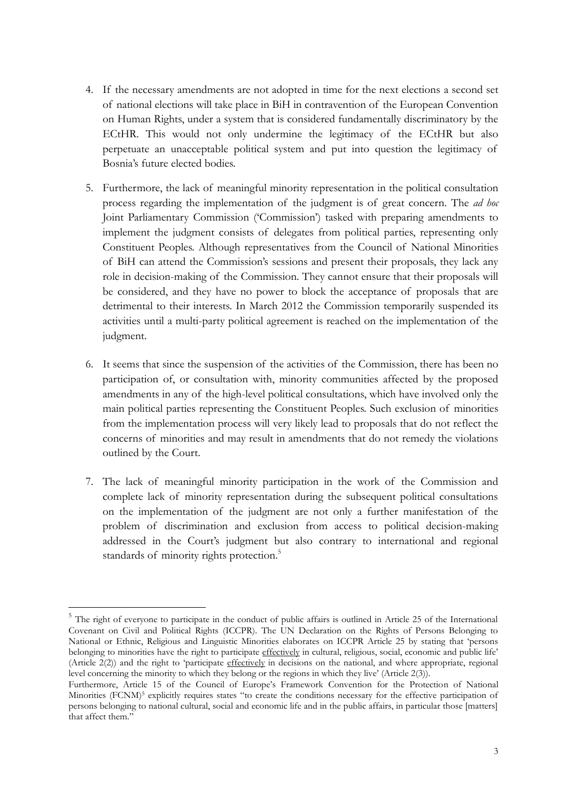- 4. If the necessary amendments are not adopted in time for the next elections a second set of national elections will take place in BiH in contravention of the European Convention on Human Rights, under a system that is considered fundamentally discriminatory by the ECtHR. This would not only undermine the legitimacy of the ECtHR but also perpetuate an unacceptable political system and put into question the legitimacy of Bosnia's future elected bodies.
- 5. Furthermore, the lack of meaningful minority representation in the political consultation process regarding the implementation of the judgment is of great concern. The *ad hoc* Joint Parliamentary Commission ('Commission') tasked with preparing amendments to implement the judgment consists of delegates from political parties, representing only Constituent Peoples. Although representatives from the Council of National Minorities of BiH can attend the Commission's sessions and present their proposals, they lack any role in decision-making of the Commission. They cannot ensure that their proposals will be considered, and they have no power to block the acceptance of proposals that are detrimental to their interests. In March 2012 the Commission temporarily suspended its activities until a multi-party political agreement is reached on the implementation of the judgment.
- 6. It seems that since the suspension of the activities of the Commission, there has been no participation of, or consultation with, minority communities affected by the proposed amendments in any of the high-level political consultations, which have involved only the main political parties representing the Constituent Peoples. Such exclusion of minorities from the implementation process will very likely lead to proposals that do not reflect the concerns of minorities and may result in amendments that do not remedy the violations outlined by the Court.
- 7. The lack of meaningful minority participation in the work of the Commission and complete lack of minority representation during the subsequent political consultations on the implementation of the judgment are not only a further manifestation of the problem of discrimination and exclusion from access to political decision-making addressed in the Court's judgment but also contrary to international and regional standards of minority rights protection.<sup>5</sup>

<sup>&</sup>lt;sup>5</sup> The right of everyone to participate in the conduct of public affairs is outlined in Article 25 of the International Covenant on Civil and Political Rights (ICCPR). The UN Declaration on the Rights of Persons Belonging to National or Ethnic, Religious and Linguistic Minorities elaborates on ICCPR Article 25 by stating that 'persons belonging to minorities have the right to participate effectively in cultural, religious, social, economic and public life' (Article 2(2)) and the right to 'participate effectively in decisions on the national, and where appropriate, regional level concerning the minority to which they belong or the regions in which they live' (Article 2(3)).

Furthermore, Article 15 of the Council of Europe's Framework Convention for the Protection of National Minorities (FCNM)<sup>5</sup> explicitly requires states "to create the conditions necessary for the effective participation of persons belonging to national cultural, social and economic life and in the public affairs, in particular those [matters] that affect them."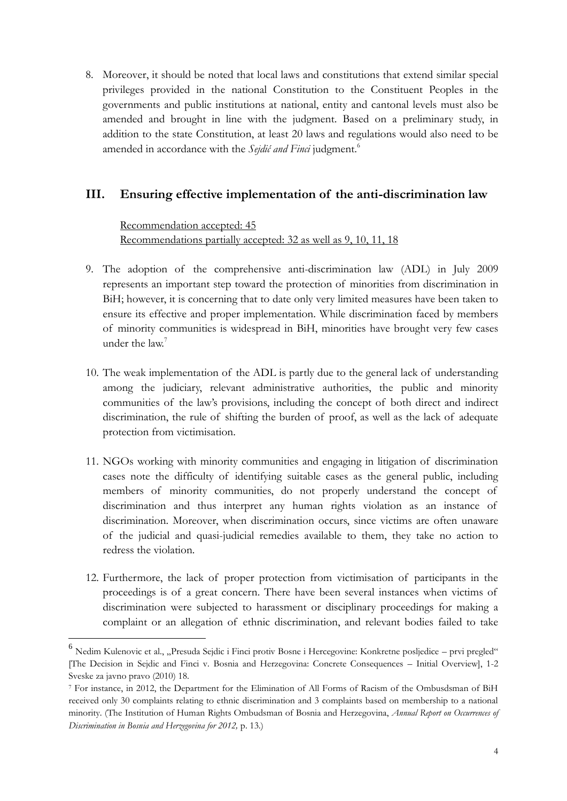8. Moreover, it should be noted that local laws and constitutions that extend similar special privileges provided in the national Constitution to the Constituent Peoples in the governments and public institutions at national, entity and cantonal levels must also be amended and brought in line with the judgment. Based on a preliminary study, in addition to the state Constitution, at least 20 laws and regulations would also need to be amended in accordance with the *Sejdić and Finci* judgment. 6

# **III. Ensuring effective implementation of the anti-discrimination law**

Recommendation accepted: 45 Recommendations partially accepted: 32 as well as 9, 10, 11, 18

- 9. The adoption of the comprehensive anti-discrimination law (ADL) in July 2009 represents an important step toward the protection of minorities from discrimination in BiH; however, it is concerning that to date only very limited measures have been taken to ensure its effective and proper implementation. While discrimination faced by members of minority communities is widespread in BiH, minorities have brought very few cases under the law.<sup>7</sup>
- 10. The weak implementation of the ADL is partly due to the general lack of understanding among the judiciary, relevant administrative authorities, the public and minority communities of the law's provisions, including the concept of both direct and indirect discrimination, the rule of shifting the burden of proof, as well as the lack of adequate protection from victimisation.
- 11. NGOs working with minority communities and engaging in litigation of discrimination cases note the difficulty of identifying suitable cases as the general public, including members of minority communities, do not properly understand the concept of discrimination and thus interpret any human rights violation as an instance of discrimination. Moreover, when discrimination occurs, since victims are often unaware of the judicial and quasi-judicial remedies available to them, they take no action to redress the violation.
- 12. Furthermore, the lack of proper protection from victimisation of participants in the proceedings is of a great concern. There have been several instances when victims of discrimination were subjected to harassment or disciplinary proceedings for making a complaint or an allegation of ethnic discrimination, and relevant bodies failed to take

<sup>&</sup>lt;sup>6</sup> Nedim Kulenovic et al., "Presuda Sejdic i Finci protiv Bosne i Hercegovine: Konkretne posljedice – prvi pregled" [The Decision in Sejdic and Finci v. Bosnia and Herzegovina: Concrete Consequences – Initial Overview], 1-2 Sveske za javno pravo (2010) 18.

<sup>7</sup> For instance, in 2012, the Department for the Elimination of All Forms of Racism of the Ombusdsman of BiH received only 30 complaints relating to ethnic discrimination and 3 complaints based on membership to a national minority. (The Institution of Human Rights Ombudsman of Bosnia and Herzegovina, *Annual Report on Occurrences of Discrimination in Bosnia and Herzegovina for 2012,* p. 13.)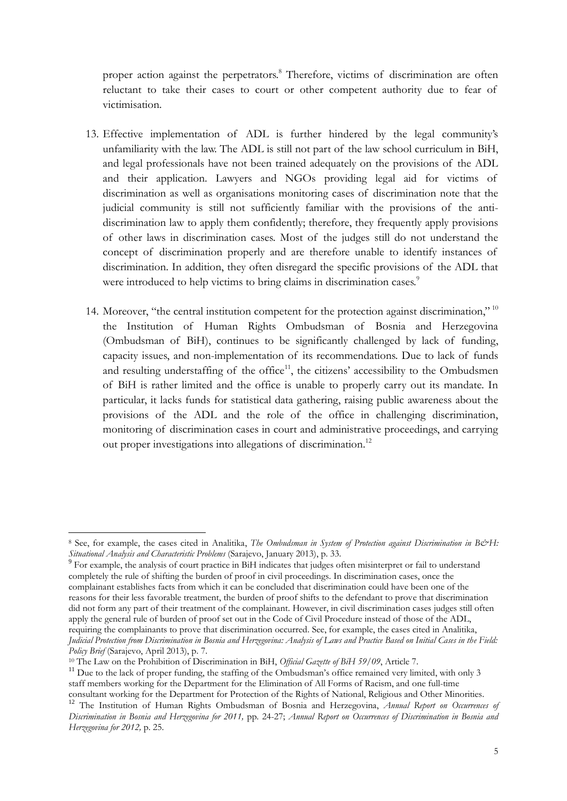proper action against the perpetrators. <sup>8</sup> Therefore, victims of discrimination are often reluctant to take their cases to court or other competent authority due to fear of victimisation.

- 13. Effective implementation of ADL is further hindered by the legal community's unfamiliarity with the law. The ADL is still not part of the law school curriculum in BiH, and legal professionals have not been trained adequately on the provisions of the ADL and their application. Lawyers and NGOs providing legal aid for victims of discrimination as well as organisations monitoring cases of discrimination note that the judicial community is still not sufficiently familiar with the provisions of the antidiscrimination law to apply them confidently; therefore, they frequently apply provisions of other laws in discrimination cases. Most of the judges still do not understand the concept of discrimination properly and are therefore unable to identify instances of discrimination. In addition, they often disregard the specific provisions of the ADL that were introduced to help victims to bring claims in discrimination cases.<sup>9</sup>
- 14. Moreover, "the central institution competent for the protection against discrimination," 10 the Institution of Human Rights Ombudsman of Bosnia and Herzegovina (Ombudsman of BiH), continues to be significantly challenged by lack of funding, capacity issues, and non-implementation of its recommendations. Due to lack of funds and resulting understaffing of the office $11$ , the citizens' accessibility to the Ombudsmen of BiH is rather limited and the office is unable to properly carry out its mandate. In particular, it lacks funds for statistical data gathering, raising public awareness about the provisions of the ADL and the role of the office in challenging discrimination, monitoring of discrimination cases in court and administrative proceedings, and carrying out proper investigations into allegations of discrimination.<sup>12</sup>

<sup>8</sup> See, for example, the cases cited in Analitika, *The Ombudsman in System of Protection against Discrimination in B&H*: *Situational Analysis and Characteristic Problems* (Sarajevo, January 2013), p. 33. 9 For example, the analysis of court practice in BiH indicates that judges often misinterpret or fail to understand

completely the rule of shifting the burden of proof in civil proceedings. In discrimination cases, once the complainant establishes facts from which it can be concluded that discrimination could have been one of the reasons for their less favorable treatment, the burden of proof shifts to the defendant to prove that discrimination did not form any part of their treatment of the complainant. However, in civil discrimination cases judges still often apply the general rule of burden of proof set out in the Code of Civil Procedure instead of those of the ADL, requiring the complainants to prove that discrimination occurred. See, for example, the cases cited in Analitika, *Judicial Protection from Discrimination in Bosnia and Herzegovina: Analysis of Laws and Practice Based on Initial Cases in the Field: Policy Brief* (Sarajevo, April 2013), p. 7.

<sup>10</sup> The Law on the Prohibition of Discrimination in BiH, *Official Gazette of BiH 59/09*, Article 7.

<sup>&</sup>lt;sup>11</sup> Due to the lack of proper funding, the staffing of the Ombudsman's office remained very limited, with only 3 staff members working for the Department for the Elimination of All Forms of Racism, and one full-time consultant working for the Department for Protection of the Rights of National, Religious and Other Minorities.

<sup>12</sup> The Institution of Human Rights Ombudsman of Bosnia and Herzegovina, *Annual Report on Occurrences of Discrimination in Bosnia and Herzegovina for 2011,* pp. 24-27; *Annual Report on Occurrences of Discrimination in Bosnia and Herzegovina for 2012,* p. 25.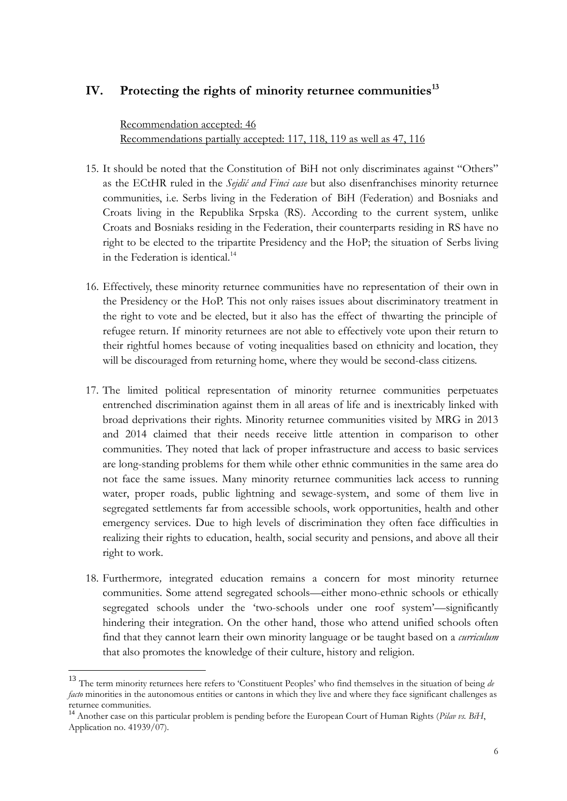### **IV. Protecting the rights of minority returnee communities<sup>13</sup>**

Recommendation accepted: 46 Recommendations partially accepted: 117, 118, 119 as well as 47, 116

- 15. It should be noted that the Constitution of BiH not only discriminates against "Others" as the ECtHR ruled in the *Sejdić and Finci case* but also disenfranchises minority returnee communities, i.e. Serbs living in the Federation of BiH (Federation) and Bosniaks and Croats living in the Republika Srpska (RS). According to the current system, unlike Croats and Bosniaks residing in the Federation, their counterparts residing in RS have no right to be elected to the tripartite Presidency and the HoP; the situation of Serbs living in the Federation is identical  $14$
- 16. Effectively, these minority returnee communities have no representation of their own in the Presidency or the HoP. This not only raises issues about discriminatory treatment in the right to vote and be elected, but it also has the effect of thwarting the principle of refugee return. If minority returnees are not able to effectively vote upon their return to their rightful homes because of voting inequalities based on ethnicity and location, they will be discouraged from returning home, where they would be second-class citizens.
- 17. The limited political representation of minority returnee communities perpetuates entrenched discrimination against them in all areas of life and is inextricably linked with broad deprivations their rights. Minority returnee communities visited by MRG in 2013 and 2014 claimed that their needs receive little attention in comparison to other communities. They noted that lack of proper infrastructure and access to basic services are long-standing problems for them while other ethnic communities in the same area do not face the same issues. Many minority returnee communities lack access to running water, proper roads, public lightning and sewage-system, and some of them live in segregated settlements far from accessible schools, work opportunities, health and other emergency services. Due to high levels of discrimination they often face difficulties in realizing their rights to education, health, social security and pensions, and above all their right to work.
- 18. Furthermore*,* integrated education remains a concern for most minority returnee communities. Some attend segregated schools—either mono-ethnic schools or ethically segregated schools under the 'two-schools under one roof system'—significantly hindering their integration. On the other hand, those who attend unified schools often find that they cannot learn their own minority language or be taught based on a *curriculum* that also promotes the knowledge of their culture, history and religion.

<sup>13</sup> The term minority returnees here refers to 'Constituent Peoples' who find themselves in the situation of being *de facto* minorities in the autonomous entities or cantons in which they live and where they face significant challenges as returnee communities.

<sup>14</sup> Another case on this particular problem is pending before the European Court of Human Rights (*Pilav vs. BiH*, Application no. 41939/07).